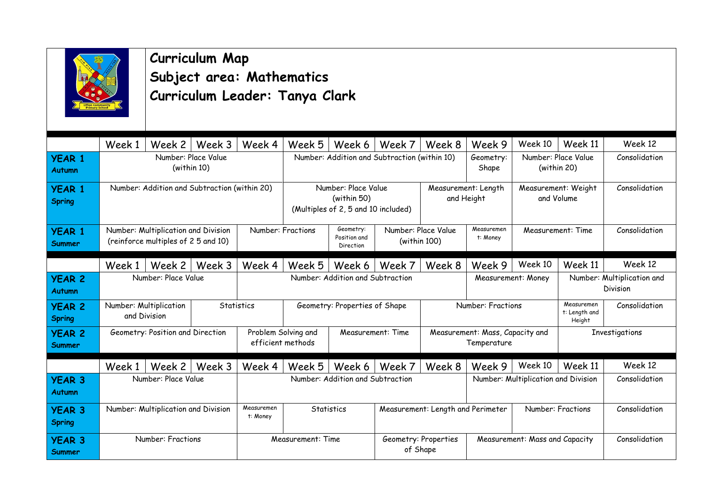

#### **Curriculum Map Subject area: Mathematics Curriculum Leader: Tanya Clark**

|                                | Week 1                                          | Week 2                                                                     | Week 3     | Week 4                                                                    | Week 5                                                        | Week 6                                 | Week 7                                       | Week 8                              | Week 9                                         | Week 10                               | Week 11                                | Week 12        |
|--------------------------------|-------------------------------------------------|----------------------------------------------------------------------------|------------|---------------------------------------------------------------------------|---------------------------------------------------------------|----------------------------------------|----------------------------------------------|-------------------------------------|------------------------------------------------|---------------------------------------|----------------------------------------|----------------|
| <b>YEAR 1</b><br>Autumn        |                                                 | Number: Place Value<br>(within 10)                                         |            |                                                                           |                                                               |                                        | Number: Addition and Subtraction (within 10) |                                     | Geometry:<br>Shape                             |                                       | Number: Place Value<br>(within 20)     | Consolidation  |
| <b>YEAR 1</b><br>Spring        | Number: Addition and Subtraction (within 20)    |                                                                            |            | Number: Place Value<br>(within 50)<br>(Multiples of 2, 5 and 10 included) |                                                               |                                        | Measurement: Length<br>and Height            |                                     | Measurement: Weight<br>and Volume              | Consolidation                         |                                        |                |
| <b>YEAR 1</b><br><b>Summer</b> |                                                 | Number: Multiplication and Division<br>(reinforce multiples of 2 5 and 10) |            |                                                                           | Number: Fractions                                             | Geometry:<br>Position and<br>Direction |                                              | Number: Place Value<br>(within 100) | Measuremen<br>t: Money                         |                                       | Measurement: Time                      | Consolidation  |
|                                | Week 1                                          | Week 2                                                                     | Week 3     | Week 4                                                                    | Week 5                                                        | Week 6                                 | Week 7                                       | Week 8                              | Week 9                                         | Week 10                               | Week 11                                | Week 12        |
| <b>YEAR 2</b><br>Autumn        | Number: Place Value                             |                                                                            |            |                                                                           | Number: Addition and Subtraction                              |                                        |                                              | Measurement: Money                  |                                                |                                       | Number: Multiplication and<br>Division |                |
| <b>YEAR 2</b><br>Spring        |                                                 | Number: Multiplication<br>and Division                                     |            | Statistics<br>Geometry: Properties of Shape                               |                                                               |                                        |                                              | Number: Fractions                   |                                                | Measuremen<br>t: Length and<br>Height | Consolidation                          |                |
| <b>YEAR 2</b><br><b>Summer</b> |                                                 | Geometry: Position and Direction                                           |            |                                                                           | Problem Solving and<br>Measurement: Time<br>efficient methods |                                        |                                              |                                     | Measurement: Mass, Capacity and<br>Temperature |                                       |                                        | Investigations |
|                                | Week 1                                          | Week 2                                                                     | Week 3     | Week 4                                                                    | Week 5                                                        | Week 6                                 | Week 7                                       | Week 8                              | Week 9                                         | Week 10                               | Week 11                                | Week 12        |
| <b>YEAR 3</b><br>Autumn        | Number: Place Value                             |                                                                            |            |                                                                           | Number: Addition and Subtraction                              |                                        |                                              | Number: Multiplication and Division |                                                |                                       | Consolidation                          |                |
| <b>YEAR 3</b><br>Spring        | Number: Multiplication and Division<br>t: Money |                                                                            | Measuremen | Statistics                                                                |                                                               |                                        | Measurement: Length and Perimeter            |                                     |                                                | Number: Fractions                     | Consolidation                          |                |
| <b>YEAR 3</b><br>Summer        |                                                 | Number: Fractions                                                          |            |                                                                           | Measurement: Time                                             |                                        | Geometry: Properties<br>of Shape             |                                     | Measurement: Mass and Capacity                 |                                       |                                        | Consolidation  |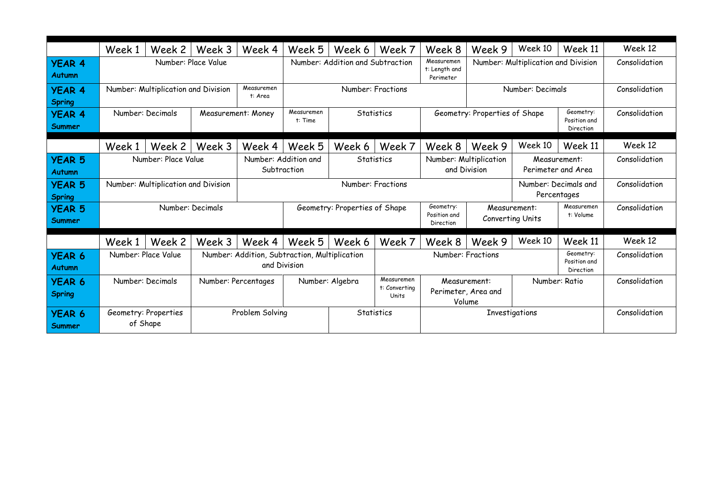|                                | Week 1                                                       | Week 2                           | Week 3             | Week 4                                            | Week 5                                                        | Week 6                           | Week 7                                        | Week 8                                                                       | Week 9                              | Week 10          | Week 11                                | Week 12       |
|--------------------------------|--------------------------------------------------------------|----------------------------------|--------------------|---------------------------------------------------|---------------------------------------------------------------|----------------------------------|-----------------------------------------------|------------------------------------------------------------------------------|-------------------------------------|------------------|----------------------------------------|---------------|
| <b>YEAR 4</b><br><b>Autumn</b> |                                                              | Number: Place Value              |                    |                                                   |                                                               | Number: Addition and Subtraction |                                               | Measuremen<br>t: Length and<br>Perimeter                                     | Number: Multiplication and Division |                  |                                        | Consolidation |
| <b>YEAR 4</b><br><b>Spring</b> | Number: Multiplication and Division<br>Measuremen<br>t: Area |                                  |                    | Number: Fractions                                 |                                                               | Number: Decimals                 |                                               |                                                                              |                                     | Consolidation    |                                        |               |
| <b>YEAR 4</b><br><b>Summer</b> |                                                              | Number: Decimals                 | Measurement: Money |                                                   | Measuremen<br>t: Time                                         |                                  | Statistics                                    |                                                                              | Geometry: Properties of Shape       |                  | Geometry:<br>Position and<br>Direction | Consolidation |
|                                | Week 1                                                       | Week 2                           | Week 3             | Week 4                                            | Week 5                                                        | Week 6                           | Week 7                                        | Week 8                                                                       | Week 9                              | Week 10          | Week 11                                | Week 12       |
| <b>YEAR 5</b><br><b>Autumn</b> | Number: Place Value                                          |                                  |                    | Number: Addition and<br>Statistics<br>Subtraction |                                                               |                                  |                                               | Number: Multiplication<br>Measurement:<br>and Division<br>Perimeter and Area |                                     |                  | Consolidation                          |               |
| <b>YEAR 5</b><br><b>Spring</b> | Number: Multiplication and Division                          |                                  |                    |                                                   |                                                               |                                  | Number: Fractions                             |                                                                              |                                     |                  | Number: Decimals and<br>Percentages    | Consolidation |
| <b>YEAR 5</b><br><b>Summer</b> |                                                              |                                  | Number: Decimals   |                                                   | Geometry: Properties of Shape                                 |                                  |                                               | Geometry:<br>Position and<br>Direction                                       | Measurement:                        | Converting Units | Measuremen<br>t: Volume                | Consolidation |
|                                | Week 1                                                       | Week 2                           | Week 3             | Week 4                                            | Week 5                                                        | Week 6                           | Week 7                                        | Week 8                                                                       | Week 9                              | Week 10          | Week 11                                | Week 12       |
| <b>YEAR 6</b><br><b>Autumn</b> |                                                              | Number: Place Value              |                    |                                                   | Number: Addition, Subtraction, Multiplication<br>and Division |                                  |                                               |                                                                              | Number: Fractions                   |                  | Geometry:<br>Position and<br>Direction | Consolidation |
| <b>YEAR 6</b><br><b>Spring</b> | Number: Decimals<br>Number: Percentages                      |                                  |                    |                                                   | Measuremen<br>Number: Algebra<br>t: Converting<br>Units       |                                  | Measurement:<br>Perimeter, Area and<br>Volume |                                                                              | Number: Ratio                       |                  | Consolidation                          |               |
| <b>YEAR 6</b><br><b>Summer</b> |                                                              | Geometry: Properties<br>of Shape |                    | Problem Solving                                   |                                                               |                                  | Statistics                                    | Investigations                                                               |                                     |                  |                                        | Consolidation |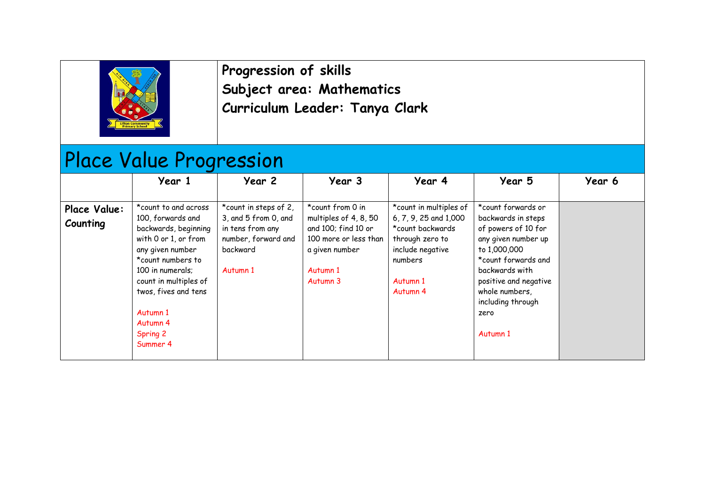

**Progression of skills Subject area: Mathematics Curriculum Leader: Tanya Clark**

# Place Value Progression

|                          | Year 1                                                                                                                                                                                                                                                  | Year 2                                                                                                           | Year 3                                                                                                                              | Year 4                                                                                                                                                   | Year 5                                                                                                                                                                                                                              | Year 6 |
|--------------------------|---------------------------------------------------------------------------------------------------------------------------------------------------------------------------------------------------------------------------------------------------------|------------------------------------------------------------------------------------------------------------------|-------------------------------------------------------------------------------------------------------------------------------------|----------------------------------------------------------------------------------------------------------------------------------------------------------|-------------------------------------------------------------------------------------------------------------------------------------------------------------------------------------------------------------------------------------|--------|
| Place Value:<br>Counting | *count to and across<br>100, forwards and<br>backwards, beginning<br>with 0 or 1, or from<br>any given number<br>*count numbers to<br>100 in numerals;<br>count in multiples of<br>twos, fives and tens<br>Autumn 1<br>Autumn 4<br>Spring 2<br>Summer 4 | *count in steps of 2,<br>3, and 5 from 0, and<br>in tens from any<br>number, forward and<br>backward<br>Autumn 1 | *count from 0 in<br>multiples of 4, 8, 50<br>and 100; find 10 or<br>100 more or less than<br>a given number<br>Autumn 1<br>Autumn 3 | *count in multiples of<br>6, 7, 9, 25 and 1,000<br>*count backwards<br>through zero to<br>include negative<br>numbers<br>Autumn 1<br>Autumn <sub>4</sub> | *count forwards or<br>backwards in steps<br>of powers of 10 for<br>any given number up<br>to 1,000,000<br>*count forwards and<br>backwards with<br>positive and negative<br>whole numbers,<br>including through<br>zero<br>Autumn 1 |        |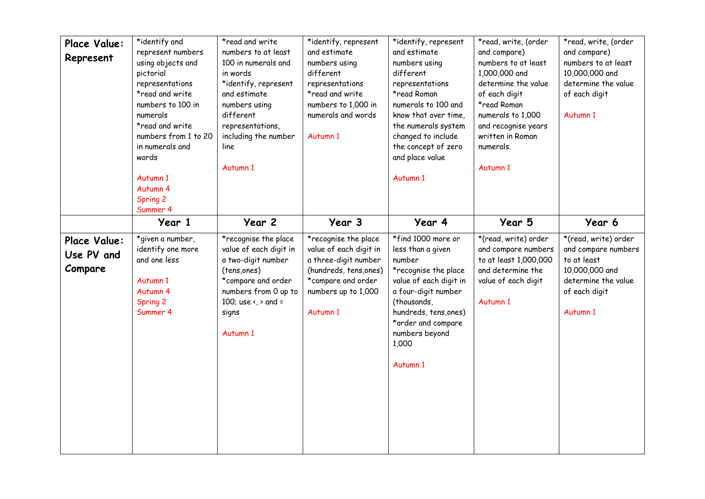| Place Value:<br>Represent             | *identify and<br>represent numbers<br>using objects and<br>pictorial<br>representations<br>*read and write<br>numbers to 100 in<br>numerals<br>*read and write<br>numbers from 1 to 20<br>in numerals and<br>words<br>Autumn 1<br>Autumn 4<br>Spring 2<br>Summer 4 | *read and write<br>numbers to at least<br>100 in numerals and<br>in words<br>*identify, represent<br>and estimate<br>numbers using<br>different<br>representations,<br>including the number<br>line<br>Autumn 1 | *identify, represent<br>and estimate<br>numbers using<br>different<br>representations<br>*read and write<br>numbers to 1,000 in<br>numerals and words<br>Autumn 1 | *identify, represent<br>and estimate<br>numbers using<br>different<br>representations<br>*read Roman<br>numerals to 100 and<br>know that over time,<br>the numerals system<br>changed to include<br>the concept of zero<br>and place value<br>Autumn 1 | *read, write, (order<br>and compare)<br>numbers to at least<br>1,000,000 and<br>determine the value<br>of each digit<br>*read Roman<br>numerals to 1,000<br>and recognise years<br>written in Roman<br>numerals.<br>Autumn 1 | *read, write, (order<br>and compare)<br>numbers to at least<br>10,000,000 and<br>determine the value<br>of each digit<br>Autumn 1 |
|---------------------------------------|--------------------------------------------------------------------------------------------------------------------------------------------------------------------------------------------------------------------------------------------------------------------|-----------------------------------------------------------------------------------------------------------------------------------------------------------------------------------------------------------------|-------------------------------------------------------------------------------------------------------------------------------------------------------------------|--------------------------------------------------------------------------------------------------------------------------------------------------------------------------------------------------------------------------------------------------------|------------------------------------------------------------------------------------------------------------------------------------------------------------------------------------------------------------------------------|-----------------------------------------------------------------------------------------------------------------------------------|
|                                       | Year 1                                                                                                                                                                                                                                                             | Year 2                                                                                                                                                                                                          | Year 3                                                                                                                                                            | Year 4                                                                                                                                                                                                                                                 | Year 5                                                                                                                                                                                                                       | Year 6                                                                                                                            |
| Place Value:<br>Use PV and<br>Compare | *given a number,<br>identify one more<br>and one less<br>Autumn 1<br>Autumn 4<br>Spring 2<br>Summer 4                                                                                                                                                              | *recognise the place<br>value of each digit in<br>a two-digit number<br>(tens,ones)<br>*compare and order<br>numbers from 0 up to<br>100; use $\left\langle \right\rangle$ and =<br>signs<br>Autumn 1           | *recognise the place<br>value of each digit in<br>a three-digit number<br>(hundreds, tens, ones)<br>*compare and order<br>numbers up to 1,000<br>Autumn 1         | *find 1000 more or<br>less than a given<br>number<br>*recognise the place<br>value of each digit in<br>a four-digit number<br>(thousands,<br>hundreds, tens, ones)<br>*order and compare<br>numbers beyond<br>1,000<br>Autumn 1                        | *(read, write) order<br>and compare numbers<br>to at least 1,000,000<br>and determine the<br>value of each digit<br>Autumn 1                                                                                                 | *(read, write) order<br>and compare numbers<br>to at least<br>10,000,000 and<br>determine the value<br>of each digit<br>Autumn 1  |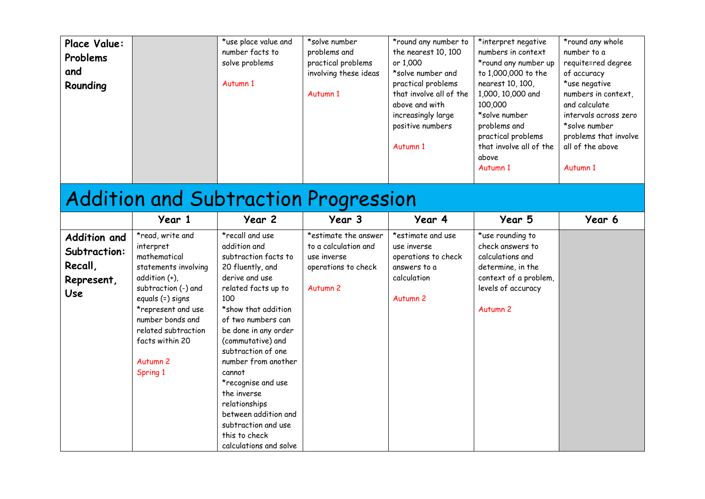| <b>Place Value:</b><br>Problems<br>and<br>Rounding                  |                                                                                                                                                                                                                                                          | *use place value and<br>number facts to<br>solve problems<br>Autumn 1                                                                                                                                                                                                                                                                                                                                                        | *solve number<br>problems and<br>practical problems<br>involving these ideas<br>Autumn 1                  | *round any number to<br>the nearest 10, 100<br>or 1,000<br>*solve number and<br>practical problems<br>that involve all of the<br>above and with<br>increasingly large<br>positive numbers<br>Autumn 1 | *interpret negative<br>numbers in context<br>*round any number up<br>to 1,000,000 to the<br>nearest 10, 100,<br>1,000, 10,000 and<br>100,000<br>*solve number<br>problems and<br>practical problems<br>that involve all of the<br>above<br>Autumn 1 | *round any whole<br>number to a<br>requite=red degree<br>of accuracy<br>*use negative<br>numbers in context,<br>and calculate<br>intervals across zero<br>*solve number<br>problems that involve<br>all of the above<br>Autumn 1 |
|---------------------------------------------------------------------|----------------------------------------------------------------------------------------------------------------------------------------------------------------------------------------------------------------------------------------------------------|------------------------------------------------------------------------------------------------------------------------------------------------------------------------------------------------------------------------------------------------------------------------------------------------------------------------------------------------------------------------------------------------------------------------------|-----------------------------------------------------------------------------------------------------------|-------------------------------------------------------------------------------------------------------------------------------------------------------------------------------------------------------|-----------------------------------------------------------------------------------------------------------------------------------------------------------------------------------------------------------------------------------------------------|----------------------------------------------------------------------------------------------------------------------------------------------------------------------------------------------------------------------------------|
|                                                                     |                                                                                                                                                                                                                                                          | <b>Addition and Subtraction Progression</b>                                                                                                                                                                                                                                                                                                                                                                                  |                                                                                                           |                                                                                                                                                                                                       |                                                                                                                                                                                                                                                     |                                                                                                                                                                                                                                  |
|                                                                     | Year 1                                                                                                                                                                                                                                                   | Year 2                                                                                                                                                                                                                                                                                                                                                                                                                       | Year 3                                                                                                    | Year 4                                                                                                                                                                                                | Year 5                                                                                                                                                                                                                                              | Year 6                                                                                                                                                                                                                           |
| <b>Addition and</b><br>Subtraction:<br>Recall,<br>Represent,<br>Use | *read, write and<br>interpret<br>mathematical<br>statements involving<br>addition (+),<br>subtraction (-) and<br>equals (=) signs<br>*represent and use<br>number bonds and<br>related subtraction<br>facts within 20<br>Autumn <sub>2</sub><br>Spring 1 | *recall and use<br>addition and<br>subtraction facts to<br>20 fluently, and<br>derive and use<br>related facts up to<br>100<br>*show that addition<br>of two numbers can<br>be done in any order<br>(commutative) and<br>subtraction of one<br>number from another<br>cannot<br>*recognise and use<br>the inverse<br>relationships<br>between addition and<br>subtraction and use<br>this to check<br>calculations and solve | *estimate the answer<br>to a calculation and<br>use inverse<br>operations to check<br>Autumn <sub>2</sub> | *estimate and use<br>use inverse<br>operations to check<br>answers to a<br>calculation<br>Autumn <sub>2</sub>                                                                                         | *use rounding to<br>check answers to<br>calculations and<br>determine, in the<br>context of a problem,<br>levels of accuracy<br>Autumn <sub>2</sub>                                                                                                 |                                                                                                                                                                                                                                  |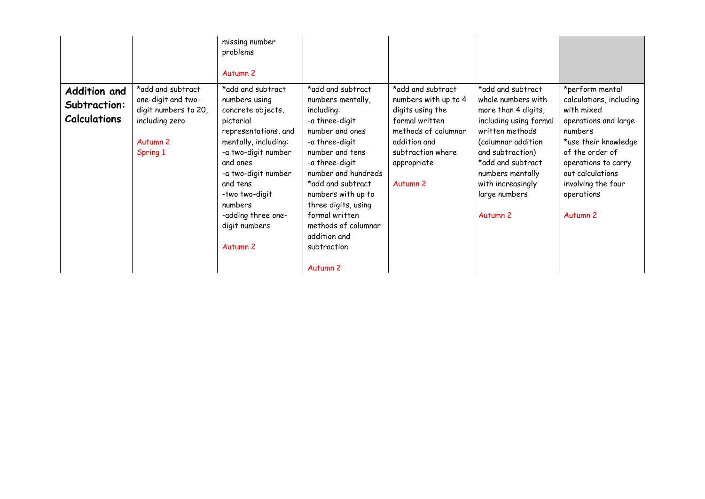|                                                     |                                                                                                                      | missing number<br>problems<br>Autumn <sub>2</sub>                                                                                                                                                                                                                                     |                                                                                                                                                                                                                                                                                                                                          |                                                                                                                                                                                   |                                                                                                                                                                                                                                                             |                                                                                                                                                                                                                                              |
|-----------------------------------------------------|----------------------------------------------------------------------------------------------------------------------|---------------------------------------------------------------------------------------------------------------------------------------------------------------------------------------------------------------------------------------------------------------------------------------|------------------------------------------------------------------------------------------------------------------------------------------------------------------------------------------------------------------------------------------------------------------------------------------------------------------------------------------|-----------------------------------------------------------------------------------------------------------------------------------------------------------------------------------|-------------------------------------------------------------------------------------------------------------------------------------------------------------------------------------------------------------------------------------------------------------|----------------------------------------------------------------------------------------------------------------------------------------------------------------------------------------------------------------------------------------------|
| Addition and<br>Subtraction:<br><b>Calculations</b> | *add and subtract<br>one-digit and two-<br>digit numbers to 20,<br>including zero<br>Autumn <sub>2</sub><br>Spring 1 | *add and subtract<br>numbers using<br>concrete objects,<br>pictorial<br>representations, and<br>mentally, including:<br>-a two-digit number<br>and ones<br>-a two-digit number<br>and tens<br>-two two-digit<br>numbers<br>-adding three one-<br>digit numbers<br>Autumn <sub>2</sub> | *add and subtract<br>numbers mentally,<br>including:<br>-a three-digit<br>number and ones<br>-a three-digit<br>number and tens<br>-a three-digit<br>number and hundreds<br>*add and subtract<br>numbers with up to<br>three digits, using<br>formal written<br>methods of columnar<br>addition and<br>subtraction<br>Autumn <sub>2</sub> | *add and subtract<br>numbers with up to 4<br>digits using the<br>formal written<br>methods of columnar<br>addition and<br>subtraction where<br>appropriate<br>Autumn <sub>2</sub> | *add and subtract<br>whole numbers with<br>more than 4 digits,<br>including using formal<br>written methods<br>(columnar addition<br>and subtraction)<br>*add and subtract<br>numbers mentally<br>with increasingly<br>large numbers<br>Autumn <sub>2</sub> | *perform mental<br>calculations, including<br>with mixed<br>operations and large<br>numbers<br>*use their knowledge<br>of the order of<br>operations to carry<br>out calculations<br>involving the four<br>operations<br>Autumn <sub>2</sub> |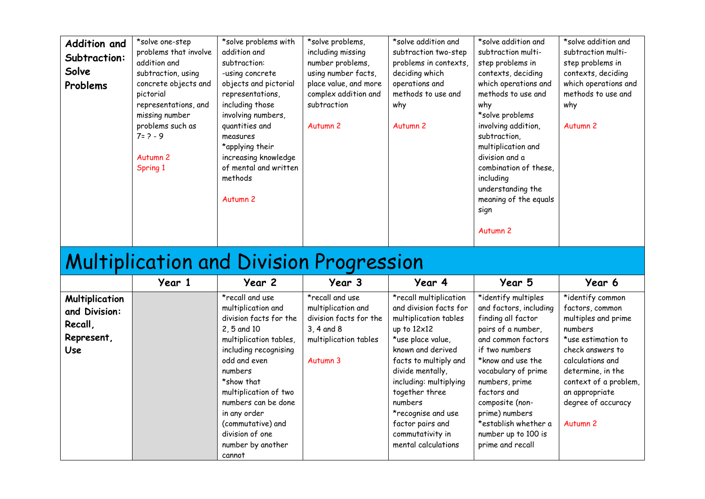| <b>Addition and</b><br>Subtraction:<br>Solve<br>Problems                      | *solve one-step<br>problems that involve<br>addition and<br>subtraction, using<br>concrete objects and<br>pictorial<br>representations, and<br>missing number<br>problems such as<br>$7 = 2 - 9$<br>Autumn <sub>2</sub><br>Spring 1 | *solve problems with<br>addition and<br>subtraction:<br>-using concrete<br>objects and pictorial<br>representations,<br>including those<br>involving numbers,<br>quantities and<br>measures<br>*applying their<br>increasing knowledge<br>of mental and written<br>methods<br>Autumn <sub>2</sub> | *solve problems,<br>including missing<br>number problems,<br>using number facts,<br>place value, and more<br>complex addition and<br>subtraction<br>Autumn <sub>2</sub> | *solve addition and<br>subtraction two-step<br>problems in contexts,<br>deciding which<br>operations and<br>methods to use and<br>why<br>Autumn <sub>2</sub>                                              | *solve addition and<br>subtraction multi-<br>step problems in<br>contexts, deciding<br>which operations and<br>methods to use and<br>why<br>*solve problems<br>involving addition,<br>subtraction,<br>multiplication and<br>division and a<br>combination of these,<br>including<br>understanding the<br>meaning of the equals<br>sign<br>Autumn <sub>2</sub> | *solve addition and<br>subtraction multi-<br>step problems in<br>contexts, deciding<br>which operations and<br>methods to use and<br>why<br>Autumn <sub>2</sub>                   |
|-------------------------------------------------------------------------------|-------------------------------------------------------------------------------------------------------------------------------------------------------------------------------------------------------------------------------------|---------------------------------------------------------------------------------------------------------------------------------------------------------------------------------------------------------------------------------------------------------------------------------------------------|-------------------------------------------------------------------------------------------------------------------------------------------------------------------------|-----------------------------------------------------------------------------------------------------------------------------------------------------------------------------------------------------------|---------------------------------------------------------------------------------------------------------------------------------------------------------------------------------------------------------------------------------------------------------------------------------------------------------------------------------------------------------------|-----------------------------------------------------------------------------------------------------------------------------------------------------------------------------------|
|                                                                               |                                                                                                                                                                                                                                     | <b>Multiplication and Division Progression</b>                                                                                                                                                                                                                                                    |                                                                                                                                                                         |                                                                                                                                                                                                           |                                                                                                                                                                                                                                                                                                                                                               |                                                                                                                                                                                   |
|                                                                               | Year 1                                                                                                                                                                                                                              | Year 2                                                                                                                                                                                                                                                                                            | Year 3                                                                                                                                                                  | Year 4                                                                                                                                                                                                    | Year 5                                                                                                                                                                                                                                                                                                                                                        | Year 6                                                                                                                                                                            |
| <b>Multiplication</b><br>and Division:<br>Recall,<br>Represent,<br><b>Use</b> |                                                                                                                                                                                                                                     | *recall and use<br>multiplication and<br>division facts for the<br>2, 5 and 10<br>multiplication tables,<br>including recognising<br>odd and even<br>numbers<br>*show that                                                                                                                        | *recall and use<br>multiplication and<br>division facts for the<br>3, 4 and 8<br>multiplication tables<br>Autumn 3                                                      | *recall multiplication<br>and division facts for<br>multiplication tables<br>up to 12x12<br>*use place value,<br>known and derived<br>facts to multiply and<br>divide mentally,<br>including: multiplying | *identify multiples<br>and factors, including<br>finding all factor<br>pairs of a number,<br>and common factors<br>if two numbers<br>*know and use the<br>vocabulary of prime<br>numbers, prime                                                                                                                                                               | *identify common<br>factors, common<br>multiples and prime<br>numbers<br>*use estimation to<br>check answers to<br>calculations and<br>determine, in the<br>context of a problem, |

together three numbers

\*recognise and use factor pairs and commutativity in mental calculations

factors and composite (nonprime) numbers \*establish whether a number up to 100 is prime and recall

an appropriate degree of accuracy

Autumn 2

multiplication of two numbers can be done

in any order (commutative) and division of one number by another

cannot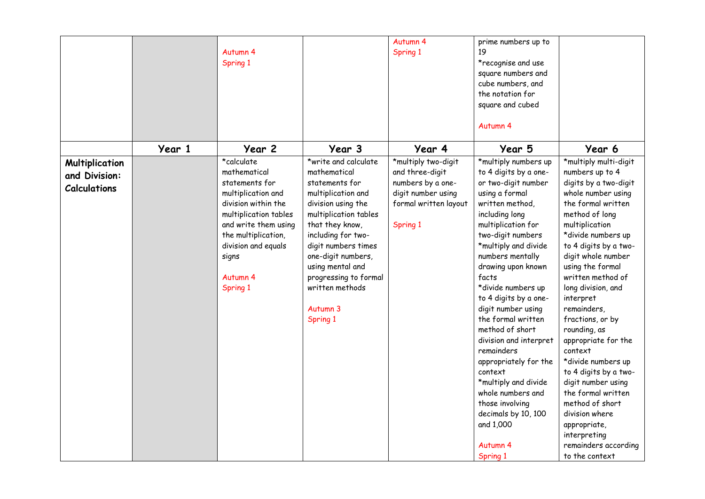|                                                               |        | Autumn 4<br>Spring 1                                                                                                                                                                                                      |                                                                                                                                                                                                                                                                                                           | Autumn 4<br>Spring 1                                                                                                   | prime numbers up to<br>19<br>*recognise and use<br>square numbers and<br>cube numbers, and<br>the notation for<br>square and cubed<br>Autumn 4                                                                                                                                                                                                                                                                                                                                                                                                                                     |                                                                                                                                                                                                                                                                                                                                                                                                                                                                                                                                                                                                   |
|---------------------------------------------------------------|--------|---------------------------------------------------------------------------------------------------------------------------------------------------------------------------------------------------------------------------|-----------------------------------------------------------------------------------------------------------------------------------------------------------------------------------------------------------------------------------------------------------------------------------------------------------|------------------------------------------------------------------------------------------------------------------------|------------------------------------------------------------------------------------------------------------------------------------------------------------------------------------------------------------------------------------------------------------------------------------------------------------------------------------------------------------------------------------------------------------------------------------------------------------------------------------------------------------------------------------------------------------------------------------|---------------------------------------------------------------------------------------------------------------------------------------------------------------------------------------------------------------------------------------------------------------------------------------------------------------------------------------------------------------------------------------------------------------------------------------------------------------------------------------------------------------------------------------------------------------------------------------------------|
|                                                               | Year 1 | Year 2                                                                                                                                                                                                                    | Year 3                                                                                                                                                                                                                                                                                                    | Year 4                                                                                                                 | Year 5                                                                                                                                                                                                                                                                                                                                                                                                                                                                                                                                                                             | Year 6                                                                                                                                                                                                                                                                                                                                                                                                                                                                                                                                                                                            |
| <b>Multiplication</b><br>and Division:<br><b>Calculations</b> |        | *calculate<br>mathematical<br>statements for<br>multiplication and<br>division within the<br>multiplication tables<br>and write them using<br>the multiplication,<br>division and equals<br>signs<br>Autumn 4<br>Spring 1 | *write and calculate<br>mathematical<br>statements for<br>multiplication and<br>division using the<br>multiplication tables<br>that they know,<br>including for two-<br>digit numbers times<br>one-digit numbers,<br>using mental and<br>progressing to formal<br>written methods<br>Autumn 3<br>Spring 1 | *multiply two-digit<br>and three-digit<br>numbers by a one-<br>digit number using<br>formal written layout<br>Spring 1 | *multiply numbers up<br>to 4 digits by a one-<br>or two-digit number<br>using a formal<br>written method,<br>including long<br>multiplication for<br>two-digit numbers<br>*multiply and divide<br>numbers mentally<br>drawing upon known<br>facts<br>*divide numbers up<br>to 4 digits by a one-<br>digit number using<br>the formal written<br>method of short<br>division and interpret<br>remainders<br>appropriately for the<br>context<br>*multiply and divide<br>whole numbers and<br>those involving<br>decimals by 10, 100<br>and 1,000<br>Autumn <sub>4</sub><br>Spring 1 | *multiply multi-digit<br>numbers up to 4<br>digits by a two-digit<br>whole number using<br>the formal written<br>method of long<br>multiplication<br>*divide numbers up<br>to 4 digits by a two-<br>digit whole number<br>using the formal<br>written method of<br>long division, and<br>interpret<br>remainders,<br>fractions, or by<br>rounding, as<br>appropriate for the<br>context<br>*divide numbers up<br>to 4 digits by a two-<br>digit number using<br>the formal written<br>method of short<br>division where<br>appropriate,<br>interpreting<br>remainders according<br>to the context |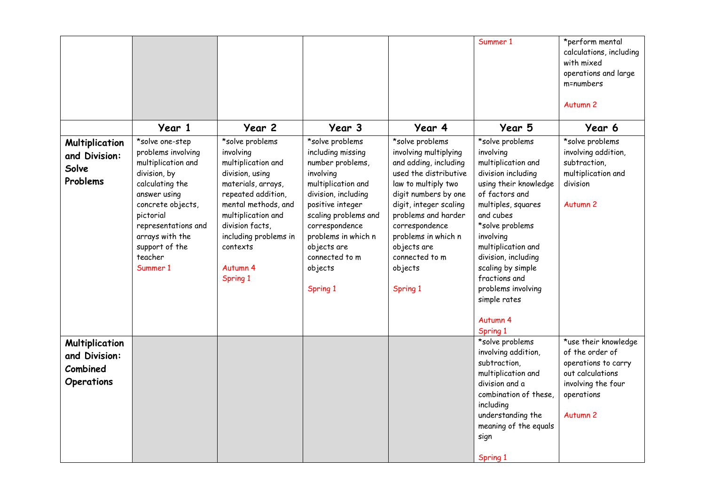|                                                                  |                                                                                                                                                                                                                                     |                                                                                                                                                                                                                                                |                                                                                                                                                                                                                                                                 |                                                                                                                                                                                                                                                                                             | Summer 1                                                                                                                                                                                                                                                                                                                    | *perform mental<br>calculations, including<br>with mixed<br>operations and large<br>m=numbers<br>Autumn <sub>2</sub>                          |
|------------------------------------------------------------------|-------------------------------------------------------------------------------------------------------------------------------------------------------------------------------------------------------------------------------------|------------------------------------------------------------------------------------------------------------------------------------------------------------------------------------------------------------------------------------------------|-----------------------------------------------------------------------------------------------------------------------------------------------------------------------------------------------------------------------------------------------------------------|---------------------------------------------------------------------------------------------------------------------------------------------------------------------------------------------------------------------------------------------------------------------------------------------|-----------------------------------------------------------------------------------------------------------------------------------------------------------------------------------------------------------------------------------------------------------------------------------------------------------------------------|-----------------------------------------------------------------------------------------------------------------------------------------------|
|                                                                  | Year 1                                                                                                                                                                                                                              | Year 2                                                                                                                                                                                                                                         | Year 3                                                                                                                                                                                                                                                          | Year 4                                                                                                                                                                                                                                                                                      | Year 5                                                                                                                                                                                                                                                                                                                      | Year 6                                                                                                                                        |
| <b>Multiplication</b><br>and Division:<br>Solve<br>Problems      | *solve one-step<br>problems involving<br>multiplication and<br>division, by<br>calculating the<br>answer using<br>concrete objects,<br>pictorial<br>representations and<br>arrays with the<br>support of the<br>teacher<br>Summer 1 | *solve problems<br>involving<br>multiplication and<br>division, using<br>materials, arrays,<br>repeated addition,<br>mental methods, and<br>multiplication and<br>division facts,<br>including problems in<br>contexts<br>Autumn 4<br>Spring 1 | *solve problems<br>including missing<br>number problems,<br>involving<br>multiplication and<br>division, including<br>positive integer<br>scaling problems and<br>correspondence<br>problems in which n<br>objects are<br>connected to m<br>objects<br>Spring 1 | *solve problems<br>involving multiplying<br>and adding, including<br>used the distributive<br>law to multiply two<br>digit numbers by one<br>digit, integer scaling<br>problems and harder<br>correspondence<br>problems in which n<br>objects are<br>connected to m<br>objects<br>Spring 1 | *solve problems<br>involving<br>multiplication and<br>division including<br>using their knowledge<br>of factors and<br>multiples, squares<br>and cubes<br>*solve problems<br>involving<br>multiplication and<br>division, including<br>scaling by simple<br>fractions and<br>problems involving<br>simple rates<br>Autumn 4 | *solve problems<br>involving addition,<br>subtraction,<br>multiplication and<br>division<br>Autumn <sub>2</sub>                               |
| Multiplication<br>and Division:<br>Combined<br><b>Operations</b> |                                                                                                                                                                                                                                     |                                                                                                                                                                                                                                                |                                                                                                                                                                                                                                                                 |                                                                                                                                                                                                                                                                                             | Spring 1<br>*solve problems<br>involving addition,<br>subtraction,<br>multiplication and<br>division and a<br>combination of these,<br>including<br>understanding the<br>meaning of the equals<br>sign<br>Spring 1                                                                                                          | *use their knowledge<br>of the order of<br>operations to carry<br>out calculations<br>involving the four<br>operations<br>Autumn <sub>2</sub> |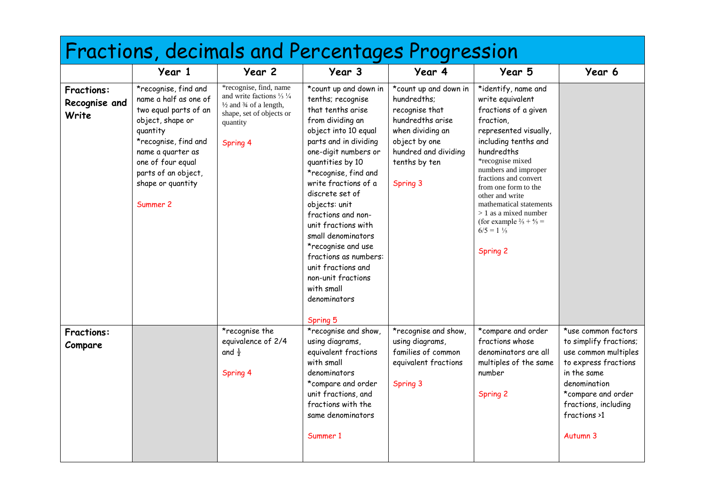| Fractions, decimals and Percentages Progression |                                                                                                                                                                                                                                  |                                                                                                                                                                            |                                                                                                                                                                                                                                                                                                                                                                                                                                                                  |                                                                                                                                                                      |                                                                                                                                                                                                                                                                                                                                                                                                     |                                                                                                                                                                                                        |  |  |  |
|-------------------------------------------------|----------------------------------------------------------------------------------------------------------------------------------------------------------------------------------------------------------------------------------|----------------------------------------------------------------------------------------------------------------------------------------------------------------------------|------------------------------------------------------------------------------------------------------------------------------------------------------------------------------------------------------------------------------------------------------------------------------------------------------------------------------------------------------------------------------------------------------------------------------------------------------------------|----------------------------------------------------------------------------------------------------------------------------------------------------------------------|-----------------------------------------------------------------------------------------------------------------------------------------------------------------------------------------------------------------------------------------------------------------------------------------------------------------------------------------------------------------------------------------------------|--------------------------------------------------------------------------------------------------------------------------------------------------------------------------------------------------------|--|--|--|
|                                                 | Year 1                                                                                                                                                                                                                           | Year 2                                                                                                                                                                     | Year 3                                                                                                                                                                                                                                                                                                                                                                                                                                                           | Year 4                                                                                                                                                               | Year 5                                                                                                                                                                                                                                                                                                                                                                                              | Year 6                                                                                                                                                                                                 |  |  |  |
| <b>Fractions:</b><br>Recognise and<br>Write     | *recognise, find and<br>name a half as one of<br>two equal parts of an<br>object, shape or<br>quantity<br>*recognise, find and<br>name a quarter as<br>one of four equal<br>parts of an object,<br>shape or quantity<br>Summer 2 | *recognise, find, name<br>and write factions $\frac{1}{3} \frac{1}{4}$<br>$\frac{1}{2}$ and $\frac{3}{4}$ of a length,<br>shape, set of objects or<br>quantity<br>Spring 4 | *count up and down in<br>tenths; recognise<br>that tenths arise<br>from dividing an<br>object into 10 equal<br>parts and in dividing<br>one-digit numbers or<br>quantities by 10<br>*recognise, find and<br>write fractions of a<br>discrete set of<br>objects: unit<br>fractions and non-<br>unit fractions with<br>small denominators<br>*recognise and use<br>fractions as numbers:<br>unit fractions and<br>non-unit fractions<br>with small<br>denominators | *count up and down in<br>hundredths;<br>recognise that<br>hundredths arise<br>when dividing an<br>object by one<br>hundred and dividing<br>tenths by ten<br>Spring 3 | *identify, name and<br>write equivalent<br>fractions of a given<br>fraction,<br>represented visually,<br>including tenths and<br>hundredths<br>*recognise mixed<br>numbers and improper<br>fractions and convert<br>from one form to the<br>other and write<br>mathematical statements<br>$> 1$ as a mixed number<br>(for example $\frac{2}{5} + \frac{4}{5} =$<br>$6/5 = 1\frac{1}{5}$<br>Spring 2 |                                                                                                                                                                                                        |  |  |  |
| <b>Fractions:</b><br>Compare                    |                                                                                                                                                                                                                                  | *recognise the<br>equivalence of 2/4<br>and $\frac{1}{2}$<br>Spring 4                                                                                                      | Spring 5<br>*recognise and show,<br>using diagrams,<br>equivalent fractions<br>with small<br>denominators<br>*compare and order<br>unit fractions, and<br>fractions with the<br>same denominators<br>Summer 1                                                                                                                                                                                                                                                    | *recognise and show,<br>using diagrams,<br>families of common<br>equivalent fractions<br>Spring 3                                                                    | *compare and order<br>fractions whose<br>denominators are all<br>multiples of the same<br>number<br>Spring 2                                                                                                                                                                                                                                                                                        | *use common factors<br>to simplify fractions;<br>use common multiples<br>to express fractions<br>in the same<br>denomination<br>*compare and order<br>fractions, including<br>fractions >1<br>Autumn 3 |  |  |  |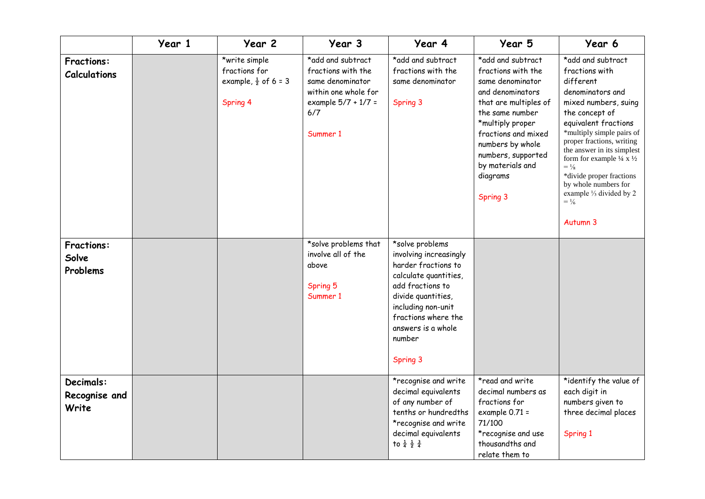|                                          | Year 1 | Year 2                                                                        | Year 3                                                                                                                        | Year 4                                                                                                                                                                                                                       | Year 5                                                                                                                                                                                                                                                       | Year 6                                                                                                                                                                                                                                                                                                                                                                                                                         |
|------------------------------------------|--------|-------------------------------------------------------------------------------|-------------------------------------------------------------------------------------------------------------------------------|------------------------------------------------------------------------------------------------------------------------------------------------------------------------------------------------------------------------------|--------------------------------------------------------------------------------------------------------------------------------------------------------------------------------------------------------------------------------------------------------------|--------------------------------------------------------------------------------------------------------------------------------------------------------------------------------------------------------------------------------------------------------------------------------------------------------------------------------------------------------------------------------------------------------------------------------|
| <b>Fractions:</b><br><b>Calculations</b> |        | *write simple<br>fractions for<br>example, $\frac{1}{2}$ of 6 = 3<br>Spring 4 | *add and subtract<br>fractions with the<br>same denominator<br>within one whole for<br>example 5/7 + 1/7 =<br>6/7<br>Summer 1 | *add and subtract<br>fractions with the<br>same denominator<br>Spring 3                                                                                                                                                      | *add and subtract<br>fractions with the<br>same denominator<br>and denominators<br>that are multiples of<br>the same number<br>*multiply proper<br>fractions and mixed<br>numbers by whole<br>numbers, supported<br>by materials and<br>diagrams<br>Spring 3 | *add and subtract<br>fractions with<br>different<br>denominators and<br>mixed numbers, suing<br>the concept of<br>equivalent fractions<br>*multiply simple pairs of<br>proper fractions, writing<br>the answer in its simplest<br>form for example $\frac{1}{4}$ x $\frac{1}{2}$<br>$= \frac{1}{8}$<br>*divide proper fractions<br>by whole numbers for<br>example $\frac{1}{3}$ divided by 2<br>$=$ $\frac{1}{6}$<br>Autumn 3 |
| <b>Fractions:</b><br>Solve<br>Problems   |        |                                                                               | *solve problems that<br>involve all of the<br>above<br>Spring 5<br>Summer 1                                                   | *solve problems<br>involving increasingly<br>harder fractions to<br>calculate quantities,<br>add fractions to<br>divide quantities,<br>including non-unit<br>fractions where the<br>answers is a whole<br>number<br>Spring 3 |                                                                                                                                                                                                                                                              |                                                                                                                                                                                                                                                                                                                                                                                                                                |
| Decimals:<br>Recognise and<br>Write      |        |                                                                               |                                                                                                                               | *recognise and write<br>decimal equivalents<br>of any number of<br>tenths or hundredths<br>*recognise and write<br>decimal equivalents<br>to $\frac{1}{4}$ $\frac{1}{2}$ $\frac{3}{4}$                                       | *read and write<br>decimal numbers as<br>fractions for<br>example $0.71 =$<br>71/100<br>*recognise and use<br>thousandths and<br>relate them to                                                                                                              | *identify the value of<br>each digit in<br>numbers given to<br>three decimal places<br>Spring 1                                                                                                                                                                                                                                                                                                                                |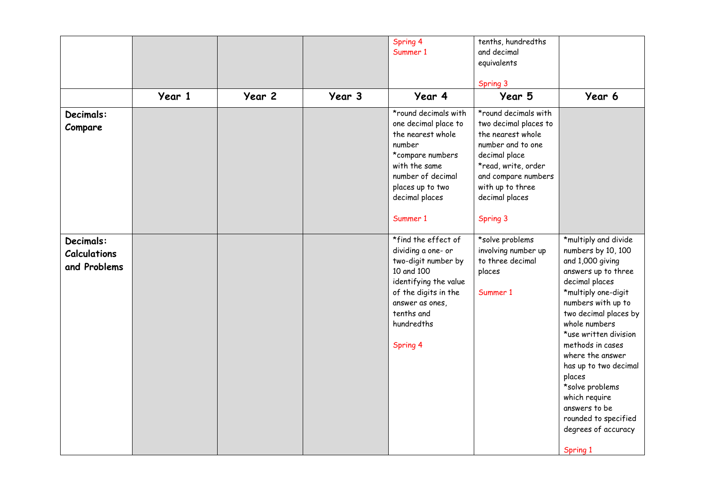|                                                  |        |        |        | Spring 4<br>Summer 1                                                                                                                                                                                         | tenths, hundredths<br>and decimal<br>equivalents<br>Spring 3                                                                                                                                             |                                                                                                                                                                                                                                                                                                                                                                                                                    |
|--------------------------------------------------|--------|--------|--------|--------------------------------------------------------------------------------------------------------------------------------------------------------------------------------------------------------------|----------------------------------------------------------------------------------------------------------------------------------------------------------------------------------------------------------|--------------------------------------------------------------------------------------------------------------------------------------------------------------------------------------------------------------------------------------------------------------------------------------------------------------------------------------------------------------------------------------------------------------------|
|                                                  | Year 1 | Year 2 | Year 3 | Year 4                                                                                                                                                                                                       | Year 5                                                                                                                                                                                                   | Year 6                                                                                                                                                                                                                                                                                                                                                                                                             |
| Decimals:<br>Compare                             |        |        |        | $\overline{\text{``round decimals with}}$<br>one decimal place to<br>the nearest whole<br>number<br>*compare numbers<br>with the same<br>number of decimal<br>places up to two<br>decimal places<br>Summer 1 | *round decimals with<br>two decimal places to<br>the nearest whole<br>number and to one<br>decimal place<br>*read, write, order<br>and compare numbers<br>with up to three<br>decimal places<br>Spring 3 |                                                                                                                                                                                                                                                                                                                                                                                                                    |
| Decimals:<br><b>Calculations</b><br>and Problems |        |        |        | *find the effect of<br>dividing a one- or<br>two-digit number by<br>10 and 100<br>identifying the value<br>of the digits in the<br>answer as ones,<br>tenths and<br>hundredths<br>Spring 4                   | *solve problems<br>involving number up<br>to three decimal<br>places<br>Summer 1                                                                                                                         | *multiply and divide<br>numbers by 10, 100<br>and 1,000 giving<br>answers up to three<br>decimal places<br>*multiply one-digit<br>numbers with up to<br>two decimal places by<br>whole numbers<br>*use written division<br>methods in cases<br>where the answer<br>has up to two decimal<br>places<br>*solve problems<br>which require<br>answers to be<br>rounded to specified<br>degrees of accuracy<br>Spring 1 |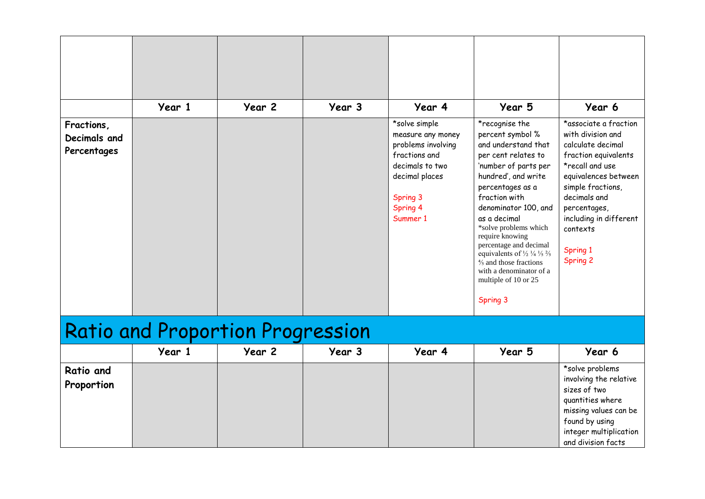|                                           | Year 1                                  | Year 2 | Year 3 | Year 4                                                                                                                                             | Year 5                                                                                                                                                                                                                                                                                                                                                                                                                                                           | Year 6                                                                                                                                                                                                                                                       |
|-------------------------------------------|-----------------------------------------|--------|--------|----------------------------------------------------------------------------------------------------------------------------------------------------|------------------------------------------------------------------------------------------------------------------------------------------------------------------------------------------------------------------------------------------------------------------------------------------------------------------------------------------------------------------------------------------------------------------------------------------------------------------|--------------------------------------------------------------------------------------------------------------------------------------------------------------------------------------------------------------------------------------------------------------|
| Fractions,<br>Decimals and<br>Percentages |                                         |        |        | *solve simple<br>measure any money<br>problems involving<br>fractions and<br>decimals to two<br>decimal places<br>Spring 3<br>Spring 4<br>Summer 1 | *recognise the<br>percent symbol %<br>and understand that<br>per cent relates to<br>'number of parts per<br>hundred', and write<br>percentages as a<br>fraction with<br>denominator 100, and<br>as a decimal<br>*solve problems which<br>require knowing<br>percentage and decimal<br>equivalents of $\frac{1}{2}$ $\frac{1}{4}$ $\frac{1}{5}$ $\frac{2}{5}$<br>$\frac{4}{5}$ and those fractions<br>with a denominator of a<br>multiple of 10 or 25<br>Spring 3 | *associate a fraction<br>with division and<br>calculate decimal<br>fraction equivalents<br>*recall and use<br>equivalences between<br>simple fractions,<br>decimals and<br>percentages,<br>including in different<br>contexts<br>Spring 1<br><b>Spring 2</b> |
|                                           | <b>Ratio and Proportion Progression</b> |        |        |                                                                                                                                                    |                                                                                                                                                                                                                                                                                                                                                                                                                                                                  |                                                                                                                                                                                                                                                              |
|                                           | Year 1                                  | Year 2 | Year 3 | Year 4                                                                                                                                             | Year 5                                                                                                                                                                                                                                                                                                                                                                                                                                                           | Year 6                                                                                                                                                                                                                                                       |
| <b>Ratio and</b><br>Proportion            |                                         |        |        |                                                                                                                                                    |                                                                                                                                                                                                                                                                                                                                                                                                                                                                  | *solve problems<br>involving the relative<br>sizes of two<br>quantities where<br>missing values can be                                                                                                                                                       |

found by using integer multiplication and division facts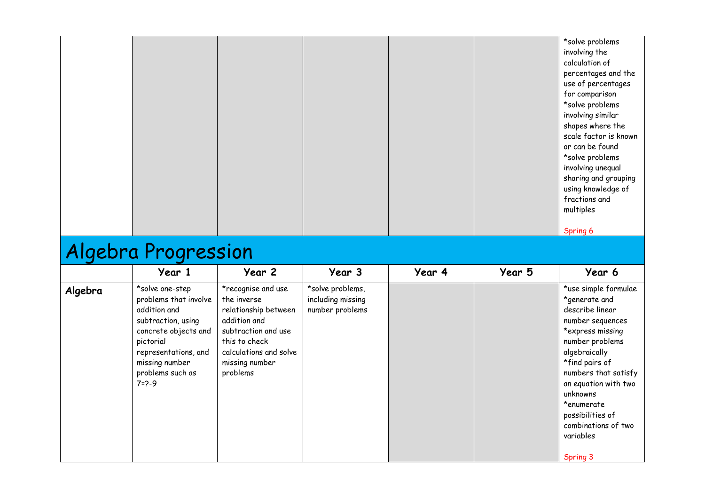|  |  |  | *solve problems       |
|--|--|--|-----------------------|
|  |  |  | involving the         |
|  |  |  | calculation of        |
|  |  |  | percentages and the   |
|  |  |  | use of percentages    |
|  |  |  | for comparison        |
|  |  |  | *solve problems       |
|  |  |  | involving similar     |
|  |  |  | shapes where the      |
|  |  |  | scale factor is known |
|  |  |  | or can be found       |
|  |  |  | *solve problems       |
|  |  |  | involving unequal     |
|  |  |  | sharing and grouping  |
|  |  |  | using knowledge of    |
|  |  |  | fractions and         |
|  |  |  | multiples             |
|  |  |  |                       |
|  |  |  | Spring 6              |
|  |  |  |                       |

### Algebra Progression

|         | Year 1                                                                                                                                                                                           | Year 2                                                                                                                                                                    | Year 3                                                   | Year 4 | Year 5 | Year 6                                                                                                                                                                                                                                                                                               |
|---------|--------------------------------------------------------------------------------------------------------------------------------------------------------------------------------------------------|---------------------------------------------------------------------------------------------------------------------------------------------------------------------------|----------------------------------------------------------|--------|--------|------------------------------------------------------------------------------------------------------------------------------------------------------------------------------------------------------------------------------------------------------------------------------------------------------|
| Algebra | *solve one-step<br>problems that involve<br>addition and<br>subtraction, using<br>concrete objects and<br>pictorial<br>representations, and<br>missing number<br>problems such as<br>$7 = 2 - 9$ | *recognise and use<br>the inverse<br>relationship between<br>addition and<br>subtraction and use<br>this to check<br>calculations and solve<br>missing number<br>problems | *solve problems,<br>including missing<br>number problems |        |        | *use simple formulae<br>*generate and<br>describe linear<br>number sequences<br>*express missing<br>number problems<br>algebraically<br>*find pairs of<br>numbers that satisfy<br>an equation with two<br>unknowns<br>*enumerate<br>possibilities of<br>combinations of two<br>variables<br>Spring 3 |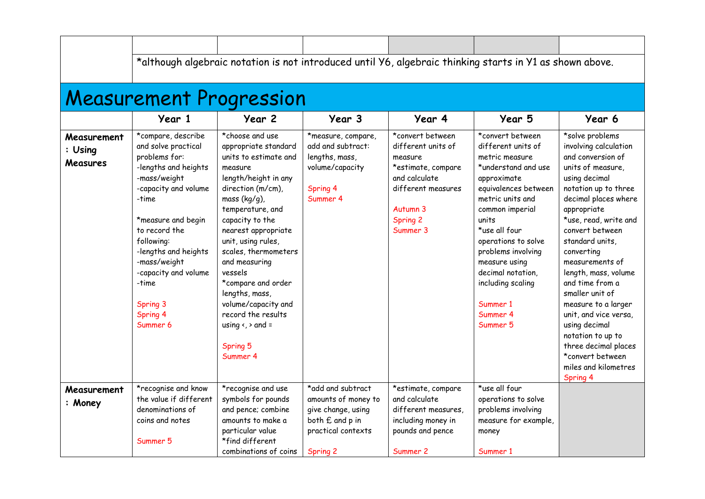|                                           |                                                                                                                                                                                                                                                                                                       | <b>Measurement Progression</b>                                                                                                                                                                                                                                                                                                                                                                                                               |                                                                                                                     |                                                                                                                                                    | *although algebraic notation is not introduced until Y6, algebraic thinking starts in Y1 as shown above.                                                                                                                                                                                                                            |                                                                                                                                                                                                                                                                                                                                                                                                                                                                                                               |
|-------------------------------------------|-------------------------------------------------------------------------------------------------------------------------------------------------------------------------------------------------------------------------------------------------------------------------------------------------------|----------------------------------------------------------------------------------------------------------------------------------------------------------------------------------------------------------------------------------------------------------------------------------------------------------------------------------------------------------------------------------------------------------------------------------------------|---------------------------------------------------------------------------------------------------------------------|----------------------------------------------------------------------------------------------------------------------------------------------------|-------------------------------------------------------------------------------------------------------------------------------------------------------------------------------------------------------------------------------------------------------------------------------------------------------------------------------------|---------------------------------------------------------------------------------------------------------------------------------------------------------------------------------------------------------------------------------------------------------------------------------------------------------------------------------------------------------------------------------------------------------------------------------------------------------------------------------------------------------------|
|                                           | Year 1                                                                                                                                                                                                                                                                                                | Year 2                                                                                                                                                                                                                                                                                                                                                                                                                                       | Year 3                                                                                                              | Year 4                                                                                                                                             | Year 5                                                                                                                                                                                                                                                                                                                              | Year 6                                                                                                                                                                                                                                                                                                                                                                                                                                                                                                        |
| Measurement<br>: Using<br><b>Measures</b> | *compare, describe<br>and solve practical<br>problems for:<br>-lengths and heights<br>-mass/weight<br>-capacity and volume<br>-time<br>*measure and begin<br>to record the<br>following:<br>-lengths and heights<br>-mass/weight<br>-capacity and volume<br>-time<br>Spring 3<br>Spring 4<br>Summer 6 | *choose and use<br>appropriate standard<br>units to estimate and<br>measure<br>length/height in any<br>direction (m/cm),<br>mass $(kg/g)$ ,<br>temperature, and<br>capacity to the<br>nearest appropriate<br>unit, using rules,<br>scales, thermometers<br>and measuring<br>vessels<br>*compare and order<br>lengths, mass,<br>volume/capacity and<br>record the results<br>using $\left\langle \right\rangle$ and =<br>Spring 5<br>Summer 4 | *measure, compare,<br>add and subtract:<br>lengths, mass,<br>volume/capacity<br>Spring 4<br>Summer 4                | *convert between<br>different units of<br>measure<br>*estimate, compare<br>and calculate<br>different measures<br>Autumn 3<br>Spring 2<br>Summer 3 | *convert between<br>different units of<br>metric measure<br>*understand and use<br>approximate<br>equivalences between<br>metric units and<br>common imperial<br>units<br>*use all four<br>operations to solve<br>problems involving<br>measure using<br>decimal notation,<br>including scaling<br>Summer 1<br>Summer 4<br>Summer 5 | *solve problems<br>involving calculation<br>and conversion of<br>units of measure.<br>using decimal<br>notation up to three<br>decimal places where<br>appropriate<br>*use, read, write and<br>convert between<br>standard units,<br>converting<br>measurements of<br>length, mass, volume<br>and time from a<br>smaller unit of<br>measure to a larger<br>unit, and vice versa,<br>using decimal<br>notation to up to<br>three decimal places<br>*convert between<br>miles and kilometres<br><b>Spring 4</b> |
| Measurement<br>: Money                    | *recognise and know<br>the value if different<br>denominations of<br>coins and notes<br>Summer 5                                                                                                                                                                                                      | *recognise and use<br>symbols for pounds<br>and pence; combine<br>amounts to make a<br>particular value<br>*find different<br>combinations of coins                                                                                                                                                                                                                                                                                          | *add and subtract<br>amounts of money to<br>give change, using<br>both £ and p in<br>practical contexts<br>Spring 2 | *estimate, compare<br>and calculate<br>different measures,<br>including money in<br>pounds and pence<br>Summer 2                                   | *use all four<br>operations to solve<br>problems involving<br>measure for example,<br>money<br>Summer 1                                                                                                                                                                                                                             |                                                                                                                                                                                                                                                                                                                                                                                                                                                                                                               |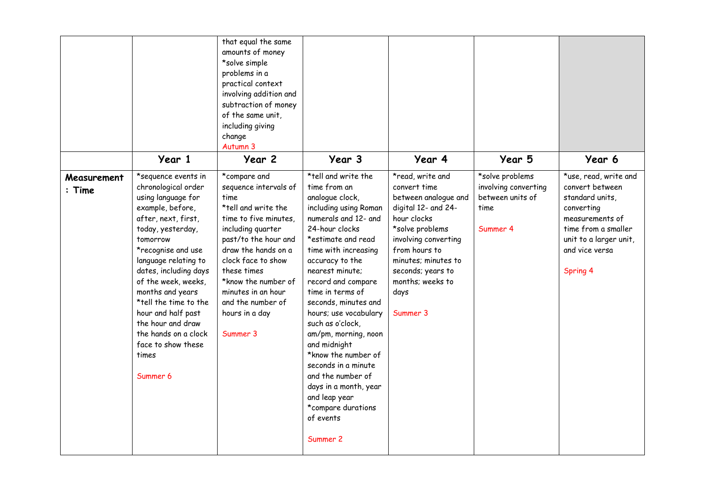|                         | Year 1                                                                                                                                                                                                                                                                                                                                                                                                | that equal the same<br>amounts of money<br>*solve simple<br>problems in a<br>practical context<br>involving addition and<br>subtraction of money<br>of the same unit,<br>including giving<br>change<br>Autumn 3<br>Year 2                                                                              | Year 3                                                                                                                                                                                                                                                                                                                                                                                                                                                                                                                           | Year 4                                                                                                                                                                                                                                         | Year 5                                                                          | Year 6                                                                                                                                                                      |
|-------------------------|-------------------------------------------------------------------------------------------------------------------------------------------------------------------------------------------------------------------------------------------------------------------------------------------------------------------------------------------------------------------------------------------------------|--------------------------------------------------------------------------------------------------------------------------------------------------------------------------------------------------------------------------------------------------------------------------------------------------------|----------------------------------------------------------------------------------------------------------------------------------------------------------------------------------------------------------------------------------------------------------------------------------------------------------------------------------------------------------------------------------------------------------------------------------------------------------------------------------------------------------------------------------|------------------------------------------------------------------------------------------------------------------------------------------------------------------------------------------------------------------------------------------------|---------------------------------------------------------------------------------|-----------------------------------------------------------------------------------------------------------------------------------------------------------------------------|
| Measurement<br>$:$ Time | *sequence events in<br>chronological order<br>using language for<br>example, before,<br>after, next, first,<br>today, yesterday,<br>tomorrow<br>*recognise and use<br>language relating to<br>dates, including days<br>of the week, weeks,<br>months and years<br>*tell the time to the<br>hour and half past<br>the hour and draw<br>the hands on a clock<br>face to show these<br>times<br>Summer 6 | *compare and<br>sequence intervals of<br>time<br>*tell and write the<br>time to five minutes.<br>including quarter<br>past/to the hour and<br>draw the hands on a<br>clock face to show<br>these times<br>*know the number of<br>minutes in an hour<br>and the number of<br>hours in a day<br>Summer 3 | *tell and write the<br>time from an<br>analogue clock,<br>including using Roman<br>numerals and 12- and<br>24-hour clocks<br>*estimate and read<br>time with increasing<br>accuracy to the<br>nearest minute:<br>record and compare<br>time in terms of<br>seconds, minutes and<br>hours; use vocabulary<br>such as o'clock,<br>am/pm, morning, noon<br>and midnight<br>*know the number of<br>seconds in a minute<br>and the number of<br>days in a month, year<br>and leap year<br>*compare durations<br>of events<br>Summer 2 | *read, write and<br>convert time<br>between analogue and<br>digital 12- and 24-<br>hour clocks<br>*solve problems<br>involving converting<br>from hours to<br>minutes; minutes to<br>seconds; years to<br>months; weeks to<br>days<br>Summer 3 | *solve problems<br>involving converting<br>between units of<br>time<br>Summer 4 | *use, read, write and<br>convert between<br>standard units,<br>converting<br>measurements of<br>time from a smaller<br>unit to a larger unit,<br>and vice versa<br>Spring 4 |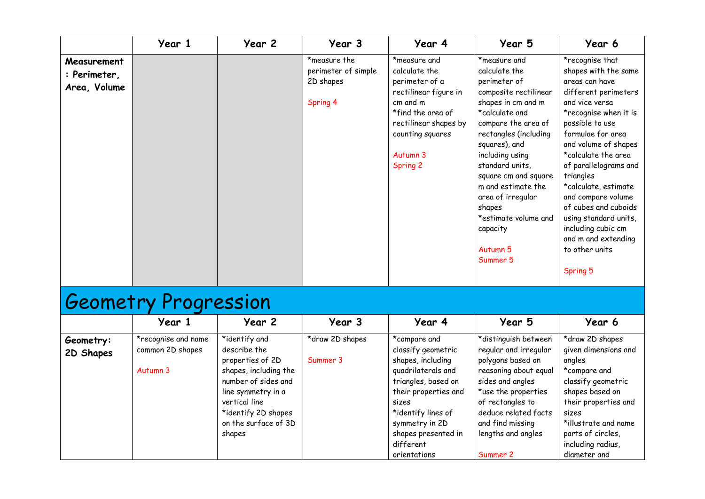|                             | Year 1 | Year 2 | Year 3                                           | Year 4                                                                                                    | Year 5                                                                                                                                                                                                                                                                               | Year 6                                                                                                                                                                                                                                                                                                                                         |
|-----------------------------|--------|--------|--------------------------------------------------|-----------------------------------------------------------------------------------------------------------|--------------------------------------------------------------------------------------------------------------------------------------------------------------------------------------------------------------------------------------------------------------------------------------|------------------------------------------------------------------------------------------------------------------------------------------------------------------------------------------------------------------------------------------------------------------------------------------------------------------------------------------------|
| Measurement<br>: Perimeter, |        |        | *measure the<br>perimeter of simple<br>2D shapes | *measure and<br>calculate the<br>perimeter of a                                                           | *measure and<br>calculate the<br>perimeter of                                                                                                                                                                                                                                        | *recognise that<br>shapes with the same<br>areas can have                                                                                                                                                                                                                                                                                      |
| Area, Volume                |        |        |                                                  | rectilinear figure in                                                                                     | composite rectilinear                                                                                                                                                                                                                                                                | different perimeters                                                                                                                                                                                                                                                                                                                           |
|                             |        |        | Spring 4                                         | cm and m<br>*find the area of<br>rectilinear shapes by<br>counting squares<br>Autumn 3<br><b>Spring 2</b> | shapes in cm and m<br>*calculate and<br>compare the area of<br>rectangles (including<br>squares), and<br>including using<br>standard units,<br>square cm and square<br>m and estimate the<br>area of irregular<br>shapes<br>*estimate volume and<br>capacity<br>Autumn 5<br>Summer 5 | and vice versa<br>*recognise when it is<br>possible to use<br>formulae for area<br>and volume of shapes<br>*calculate the area<br>of parallelograms and<br>triangles<br>*calculate, estimate<br>and compare volume<br>of cubes and cuboids<br>using standard units,<br>including cubic cm<br>and m and extending<br>to other units<br>Spring 5 |

# Geometry Progression

|                        | Year 1                                  | Year 2                                    | Year 3          | Year 4                                  | Year 5                                        | Year 6                                  |
|------------------------|-----------------------------------------|-------------------------------------------|-----------------|-----------------------------------------|-----------------------------------------------|-----------------------------------------|
| Geometry:<br>2D Shapes | *recognise and name<br>common 2D shapes | *identify and<br>describe the             | *draw 2D shapes | *compare and<br>classify geometric      | *distinguish between<br>regular and irregular | *draw 2D shapes<br>given dimensions and |
|                        | Autumn 3                                | properties of 2D<br>shapes, including the | Summer 3        | shapes, including<br>quadrilaterals and | polygons based on<br>reasoning about equal    | angles<br>*compare and                  |
|                        |                                         | number of sides and                       |                 | triangles, based on                     | sides and angles                              | classify geometric                      |
|                        |                                         | line symmetry in a<br>vertical line       |                 | their properties and<br>sizes           | *use the properties<br>of rectangles to       | shapes based on<br>their properties and |
|                        |                                         | *identify 2D shapes                       |                 | *identify lines of                      | deduce related facts                          | sizes                                   |
|                        |                                         | on the surface of 3D                      |                 | symmetry in 2D<br>shapes presented in   | and find missing<br>lengths and angles        | *illustrate and name                    |
|                        |                                         | shapes                                    |                 | different                               |                                               | parts of circles,<br>including radius,  |
|                        |                                         |                                           |                 | orientations                            | Summer 2                                      | diameter and                            |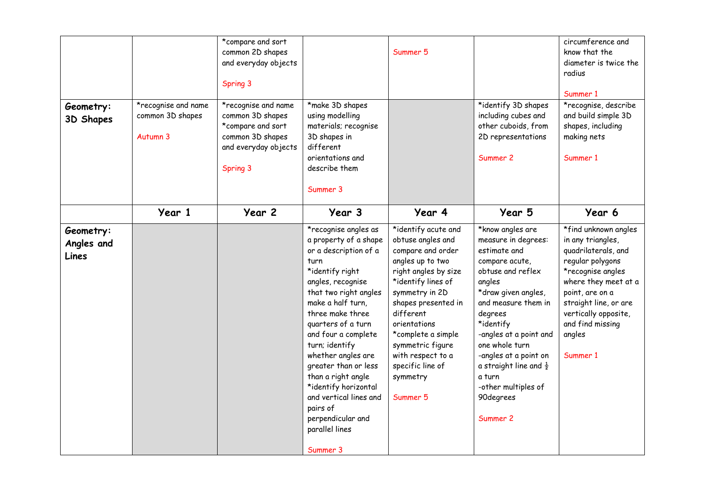| Geometry:<br>3D Shapes           | *recognise and name<br>common 3D shapes<br>Autumn 3 | *compare and sort<br>common 2D shapes<br>and everyday objects<br>Spring 3<br>*recognise and name<br>common 3D shapes<br>*compare and sort<br>common 3D shapes<br>and everyday objects<br>Spring 3 | *make 3D shapes<br>using modelling<br>materials; recognise<br>3D shapes in<br>different<br>orientations and<br>describe them<br>Summer 3                                                                                                                                                                                                                                                                                                     | Summer 5                                                                                                                                                                                                                                                                                                         | *identify 3D shapes<br>including cubes and<br>other cuboids, from<br>2D representations<br>Summer 2                                                                                                                                                                                                                                                | circumference and<br>know that the<br>diameter is twice the<br>radius<br>Summer 1<br>*recognise, describe<br>and build simple 3D<br>shapes, including<br>making nets<br>Summer 1                                                                |
|----------------------------------|-----------------------------------------------------|---------------------------------------------------------------------------------------------------------------------------------------------------------------------------------------------------|----------------------------------------------------------------------------------------------------------------------------------------------------------------------------------------------------------------------------------------------------------------------------------------------------------------------------------------------------------------------------------------------------------------------------------------------|------------------------------------------------------------------------------------------------------------------------------------------------------------------------------------------------------------------------------------------------------------------------------------------------------------------|----------------------------------------------------------------------------------------------------------------------------------------------------------------------------------------------------------------------------------------------------------------------------------------------------------------------------------------------------|-------------------------------------------------------------------------------------------------------------------------------------------------------------------------------------------------------------------------------------------------|
|                                  | Year 1                                              | Year 2                                                                                                                                                                                            | Year 3                                                                                                                                                                                                                                                                                                                                                                                                                                       | Year 4                                                                                                                                                                                                                                                                                                           | Year 5                                                                                                                                                                                                                                                                                                                                             | Year 6                                                                                                                                                                                                                                          |
| Geometry:<br>Angles and<br>Lines |                                                     |                                                                                                                                                                                                   | *recognise angles as<br>a property of a shape<br>or a description of a<br>turn<br>*identify right<br>angles, recognise<br>that two right angles<br>make a half turn,<br>three make three<br>quarters of a turn<br>and four a complete<br>turn; identify<br>whether angles are<br>greater than or less<br>than a right angle<br>*identify horizontal<br>and vertical lines and<br>pairs of<br>perpendicular and<br>parallel lines<br>Summer 3 | *identify acute and<br>obtuse angles and<br>compare and order<br>angles up to two<br>right angles by size<br>*identify lines of<br>symmetry in 2D<br>shapes presented in<br>different<br>orientations<br>*complete a simple<br>symmetric figure<br>with respect to a<br>specific line of<br>symmetry<br>Summer 5 | *know angles are<br>measure in degrees:<br>estimate and<br>compare acute,<br>obtuse and reflex<br>angles<br>*draw given angles,<br>and measure them in<br>degrees<br>*identify<br>-angles at a point and<br>one whole turn<br>-angles at a point on<br>a straight line and $\frac{1}{2}$<br>a turn<br>-other multiples of<br>90degrees<br>Summer 2 | *find unknown angles<br>in any triangles,<br>quadrilaterals, and<br>regular polygons<br>*recognise angles<br>where they meet at a<br>point, are on a<br>straight line, or are<br>vertically opposite,<br>and find missing<br>angles<br>Summer 1 |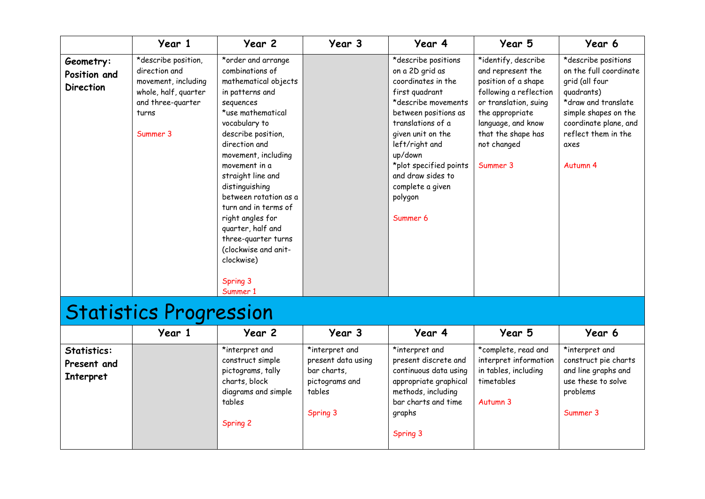|                                               | Year 1                                                                                                                        | Year 2                                                                                                                                                                                                                                                                                                                                                                                                                                   | Year 3 | Year 4                                                                                                                                                                                                                                                                                         | Year 5                                                                                                                                                                                                       | Year 6                                                                                                                                                                                           |
|-----------------------------------------------|-------------------------------------------------------------------------------------------------------------------------------|------------------------------------------------------------------------------------------------------------------------------------------------------------------------------------------------------------------------------------------------------------------------------------------------------------------------------------------------------------------------------------------------------------------------------------------|--------|------------------------------------------------------------------------------------------------------------------------------------------------------------------------------------------------------------------------------------------------------------------------------------------------|--------------------------------------------------------------------------------------------------------------------------------------------------------------------------------------------------------------|--------------------------------------------------------------------------------------------------------------------------------------------------------------------------------------------------|
| Geometry:<br>Position and<br><b>Direction</b> | *describe position,<br>direction and<br>movement, including<br>whole, half, quarter<br>and three-quarter<br>turns<br>Summer 3 | *order and arrange<br>combinations of<br>mathematical objects<br>in patterns and<br>sequences<br>*use mathematical<br>vocabulary to<br>describe position,<br>direction and<br>movement, including<br>movement in a<br>straight line and<br>distinguishing<br>between rotation as a<br>turn and in terms of<br>right angles for<br>quarter, half and<br>three-quarter turns<br>(clockwise and anit-<br>clockwise)<br>Spring 3<br>Summer 1 |        | *describe positions<br>on a 2D grid as<br>coordinates in the<br>first quadrant<br>*describe movements<br>between positions as<br>translations of a<br>given unit on the<br>left/right and<br>up/down<br>*plot specified points<br>and draw sides to<br>complete a given<br>polygon<br>Summer 6 | *identify, describe<br>and represent the<br>position of a shape<br>following a reflection<br>or translation, suing<br>the appropriate<br>language, and know<br>that the shape has<br>not changed<br>Summer 3 | *describe positions<br>on the full coordinate<br>grid (all four<br>quadrants)<br>*draw and translate<br>simple shapes on the<br>coordinate plane, and<br>reflect them in the<br>axes<br>Autumn 4 |

## Statistics Progression

|                                                | Year 1 | Year 2                                                                                                                       | Year 3                                                                                      | Year 4                                                                                                                                                      | Year 5                                                                                         | Year 6                                                                                                      |
|------------------------------------------------|--------|------------------------------------------------------------------------------------------------------------------------------|---------------------------------------------------------------------------------------------|-------------------------------------------------------------------------------------------------------------------------------------------------------------|------------------------------------------------------------------------------------------------|-------------------------------------------------------------------------------------------------------------|
| Statistics:<br>Present and<br><b>Interpret</b> |        | *interpret and<br>construct simple<br>pictograms, tally<br>charts, block<br>diagrams and simple<br>tables<br><b>Spring 2</b> | *interpret and<br>present data using<br>bar charts,<br>pictograms and<br>tables<br>Spring 3 | *interpret and<br>present discrete and<br>continuous data using<br>appropriate graphical<br>methods, including<br>bar charts and time<br>graphs<br>Spring 3 | *complete, read and<br>interpret information<br>in tables, including<br>timetables<br>Autumn 3 | *interpret and<br>construct pie charts<br>and line graphs and<br>use these to solve<br>problems<br>Summer 3 |